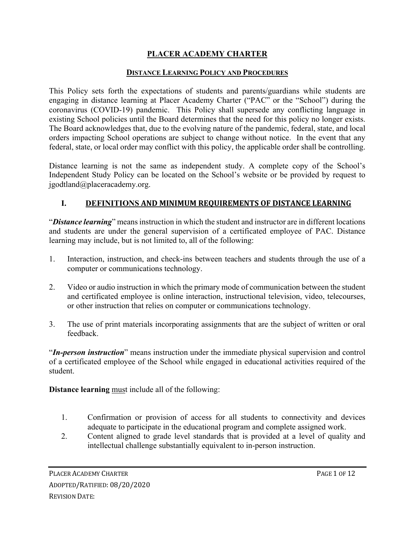## **PLACER ACADEMY CHARTER**

### **DISTANCE LEARNING POLICY AND PROCEDURES**

This Policy sets forth the expectations of students and parents/guardians while students are engaging in distance learning at Placer Academy Charter ("PAC" or the "School") during the coronavirus (COVID-19) pandemic. This Policy shall supersede any conflicting language in existing School policies until the Board determines that the need for this policy no longer exists. The Board acknowledges that, due to the evolving nature of the pandemic, federal, state, and local orders impacting School operations are subject to change without notice. In the event that any federal, state, or local order may conflict with this policy, the applicable order shall be controlling.

Distance learning is not the same as independent study. A complete copy of the School's Independent Study Policy can be located on the School's website or be provided by request to jgodtland@placeracademy.org.

## **I. DEFINITIONS AND MINIMUM REQUIREMENTS OF DISTANCE LEARNING**

"*Distance learning*" means instruction in which the student and instructor are in different locations and students are under the general supervision of a certificated employee of PAC. Distance learning may include, but is not limited to, all of the following:

- 1. Interaction, instruction, and check-ins between teachers and students through the use of a computer or communications technology.
- 2. Video or audio instruction in which the primary mode of communication between the student and certificated employee is online interaction, instructional television, video, telecourses, or other instruction that relies on computer or communications technology.
- 3. The use of print materials incorporating assignments that are the subject of written or oral feedback.

"*In-person instruction*" means instruction under the immediate physical supervision and control of a certificated employee of the School while engaged in educational activities required of the student.

**Distance learning** must include all of the following:

- 1. Confirmation or provision of access for all students to connectivity and devices adequate to participate in the educational program and complete assigned work.
- 2. Content aligned to grade level standards that is provided at a level of quality and intellectual challenge substantially equivalent to in-person instruction.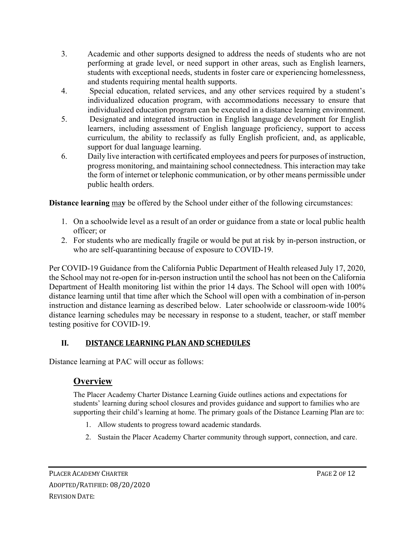- 3. Academic and other supports designed to address the needs of students who are not performing at grade level, or need support in other areas, such as English learners, students with exceptional needs, students in foster care or experiencing homelessness, and students requiring mental health supports.
- 4. Special education, related services, and any other services required by a student's individualized education program, with accommodations necessary to ensure that individualized education program can be executed in a distance learning environment.
- 5. Designated and integrated instruction in English language development for English learners, including assessment of English language proficiency, support to access curriculum, the ability to reclassify as fully English proficient, and, as applicable, support for dual language learning.
- 6. Daily live interaction with certificated employees and peers for purposes of instruction, progress monitoring, and maintaining school connectedness. This interaction may take the form of internet or telephonic communication, or by other means permissible under public health orders.

**Distance learning** ma**y** be offered by the School under either of the following circumstances:

- 1. On a schoolwide level as a result of an order or guidance from a state or local public health officer; or
- 2. For students who are medically fragile or would be put at risk by in-person instruction, or who are self-quarantining because of exposure to COVID-19.

Per COVID-19 Guidance from the California Public Department of Health released July 17, 2020, the School may not re-open for in-person instruction until the school has not been on the California Department of Health monitoring list within the prior 14 days. The School will open with 100% distance learning until that time after which the School will open with a combination of in-person instruction and distance learning as described below. Later schoolwide or classroom-wide 100% distance learning schedules may be necessary in response to a student, teacher, or staff member testing positive for COVID-19.

## **II. DISTANCE LEARNING PLAN AND SCHEDULES**

Distance learning at PAC will occur as follows:

# **Overview**

The Placer Academy Charter Distance Learning Guide outlines actions and expectations for students' learning during school closures and provides guidance and support to families who are supporting their child's learning at home. The primary goals of the Distance Learning Plan are to:

- 1. Allow students to progress toward academic standards.
- 2. Sustain the Placer Academy Charter community through support, connection, and care.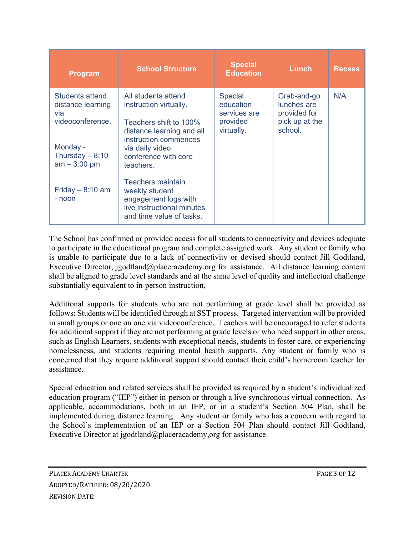| <b>Program</b>                                                                                                           | <b>School Structure</b>                                                                                                                                                               | <b>Special</b><br><b>Education</b>                                    | Lunch                                                                   | <b>Recess</b> |
|--------------------------------------------------------------------------------------------------------------------------|---------------------------------------------------------------------------------------------------------------------------------------------------------------------------------------|-----------------------------------------------------------------------|-------------------------------------------------------------------------|---------------|
| <b>Students attend</b><br>distance learning<br>via<br>videoconference.<br>Monday -<br>Thursday $-8:10$<br>$am - 3:00 pm$ | All students attend<br>instruction virtually.<br>Teachers shift to 100%<br>distance learning and all<br>instruction commences<br>via daily video<br>conference with core<br>teachers. | <b>Special</b><br>education<br>services are<br>provided<br>virtually. | Grab-and-go<br>lunches are<br>provided for<br>pick up at the<br>school. | N/A           |
| Friday $-8:10$ am<br>- noon                                                                                              | Teachers maintain<br>weekly student<br>engagement logs with<br>live instructional minutes<br>and time value of tasks.                                                                 |                                                                       |                                                                         |               |

The School has confirmed or provided access for all students to connectivity and devices adequate to participate in the educational program and complete assigned work. Any student or family who is unable to participate due to a lack of connectivity or devised should contact Jill Godtland, Executive Director, jgodtland@placeracademy.org for assistance. All distance learning content shall be aligned to grade level standards and at the same level of quality and intellectual challenge substantially equivalent to in-person instruction,

Additional supports for students who are not performing at grade level shall be provided as follows: Students will be identified through at SST process. Targeted intervention will be provided in small groups or one on one via videoconference. Teachers will be encouraged to refer students for additional support if they are not performing at grade levels or who need support in other areas, such as English Learners, students with exceptional needs, students in foster care, or experiencing homelessness, and students requiring mental health supports. Any student or family who is concerned that they require additional support should contact their child's homeroom teacher for assistance.

Special education and related services shall be provided as required by a student's individualized education program ("IEP") either in-person or through a live synchronous virtual connection. As applicable, accommodations, both in an IEP, or in a student's Section 504 Plan, shall be implemented during distance learning. Any student or family who has a concern with regard to the School's implementation of an IEP or a Section 504 Plan should contact Jill Godtland, Executive Director at jgodtland@placeracademy,org for assistance.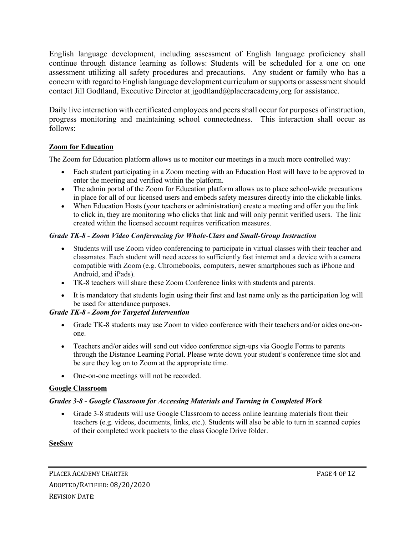English language development, including assessment of English language proficiency shall continue through distance learning as follows: Students will be scheduled for a one on one assessment utilizing all safety procedures and precautions. Any student or family who has a concern with regard to English language development curriculum or supports or assessment should contact Jill Godtland, Executive Director at jgodtland@placeracademy,org for assistance.

Daily live interaction with certificated employees and peers shall occur for purposes of instruction, progress monitoring and maintaining school connectedness. This interaction shall occur as follows:

## **Zoom for Education**

The Zoom for Education platform allows us to monitor our meetings in a much more controlled way:

- Each student participating in a Zoom meeting with an Education Host will have to be approved to enter the meeting and verified within the platform.
- The admin portal of the Zoom for Education platform allows us to place school-wide precautions in place for all of our licensed users and embeds safety measures directly into the clickable links.
- When Education Hosts (your teachers or administration) create a meeting and offer you the link to click in, they are monitoring who clicks that link and will only permit verified users. The link created within the licensed account requires verification measures.

## *Grade TK-8 - Zoom Video Conferencing for Whole-Class and Small-Group Instruction*

- Students will use Zoom video conferencing to participate in virtual classes with their teacher and classmates. Each student will need access to sufficiently fast internet and a device with a camera compatible with Zoom (e.g. Chromebooks, computers, newer smartphones such as iPhone and Android, and iPads).
- TK-8 teachers will share these Zoom Conference links with students and parents.
- It is mandatory that students login using their first and last name only as the participation log will be used for attendance purposes.

## *Grade TK-8 - Zoom for Targeted Intervention*

- Grade TK-8 students may use Zoom to video conference with their teachers and/or aides one-onone.
- Teachers and/or aides will send out video conference sign-ups via Google Forms to parents through the Distance Learning Portal. Please write down your student's conference time slot and be sure they log on to Zoom at the appropriate time.
- One-on-one meetings will not be recorded.

## **Google Classroom**

## *Grades 3-8 - Google Classroom for Accessing Materials and Turning in Completed Work*

• Grade 3-8 students will use Google Classroom to access online learning materials from their teachers (e.g. videos, documents, links, etc.). Students will also be able to turn in scanned copies of their completed work packets to the class Google Drive folder.

#### **SeeSaw**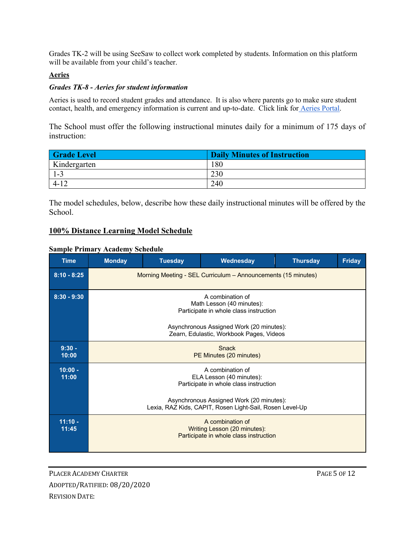Grades TK-2 will be using SeeSaw to collect work completed by students. Information on this platform will be available from your child's teacher.

#### **Aeries**

#### *Grades TK-8 - Aeries for student information*

Aeries is used to record student grades and attendance. It is also where parents go to make sure student contact, health, and emergency information is current and up-to-date. Click link for Aeries Portal.

The School must offer the following instructional minutes daily for a minimum of 175 days of instruction:

| <b>Grade Level</b> | <b>Daily Minutes of Instruction</b> |
|--------------------|-------------------------------------|
| Kindergarten       | 180                                 |
| 1-3                | 230                                 |
| $4 - 17$           | 240                                 |

The model schedules, below, describe how these daily instructional minutes will be offered by the School.

#### **100% Distance Learning Model Schedule**

#### **Sample Primary Academy Schedule**

| <b>Time</b>        | <b>Monday</b>                                                                                                                                                                                  | <b>Tuesday</b> | Wednesday | <b>Thursday</b> | <b>Friday</b> |
|--------------------|------------------------------------------------------------------------------------------------------------------------------------------------------------------------------------------------|----------------|-----------|-----------------|---------------|
| $8:10 - 8:25$      | Morning Meeting - SEL Curriculum – Announcements (15 minutes)                                                                                                                                  |                |           |                 |               |
| $8:30 - 9:30$      | A combination of<br>Math Lesson (40 minutes):<br>Participate in whole class instruction<br>Asynchronous Assigned Work (20 minutes):<br>Zearn, Edulastic, Workbook Pages, Videos                |                |           |                 |               |
| $9:30 -$<br>10:00  | <b>Snack</b><br>PE Minutes (20 minutes)                                                                                                                                                        |                |           |                 |               |
| $10:00 -$<br>11:00 | A combination of<br>ELA Lesson (40 minutes):<br>Participate in whole class instruction<br>Asynchronous Assigned Work (20 minutes):<br>Lexia, RAZ Kids, CAPIT, Rosen Light-Sail, Rosen Level-Up |                |           |                 |               |
| $11:10 -$<br>11:45 | A combination of<br>Writing Lesson (20 minutes):<br>Participate in whole class instruction                                                                                                     |                |           |                 |               |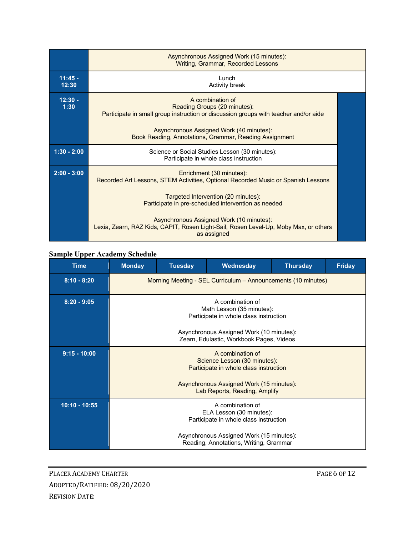|                    | Asynchronous Assigned Work (15 minutes):<br>Writing, Grammar, Recorded Lessons                                                                                                                                                                                                                                                                                 |  |
|--------------------|----------------------------------------------------------------------------------------------------------------------------------------------------------------------------------------------------------------------------------------------------------------------------------------------------------------------------------------------------------------|--|
| $11:45 -$<br>12:30 | Lunch<br><b>Activity break</b>                                                                                                                                                                                                                                                                                                                                 |  |
| $12:30 -$<br>1:30  | A combination of<br>Reading Groups (20 minutes):<br>Participate in small group instruction or discussion groups with teacher and/or aide<br>Asynchronous Assigned Work (40 minutes):<br>Book Reading, Annotations, Grammar, Reading Assignment                                                                                                                 |  |
| $1:30 - 2:00$      | Science or Social Studies Lesson (30 minutes):<br>Participate in whole class instruction                                                                                                                                                                                                                                                                       |  |
| $2:00 - 3:00$      | Enrichment (30 minutes):<br>Recorded Art Lessons, STEM Activities, Optional Recorded Music or Spanish Lessons<br>Targeted Intervention (20 minutes):<br>Participate in pre-scheduled intervention as needed<br>Asynchronous Assigned Work (10 minutes):<br>Lexia, Zearn, RAZ Kids, CAPIT, Rosen Light-Sail, Rosen Level-Up, Moby Max, or others<br>as assigned |  |

## **Sample Upper Academy Schedule**

| <b>Time</b>     | <b>Monday</b>                                                                              | <b>Tuesday</b> | Wednesday | <b>Thursday</b> | <b>Friday</b> |
|-----------------|--------------------------------------------------------------------------------------------|----------------|-----------|-----------------|---------------|
| $8:10 - 8:20$   | Morning Meeting - SEL Curriculum - Announcements (10 minutes)                              |                |           |                 |               |
| $8:20 - 9:05$   | A combination of<br>Math Lesson (35 minutes):<br>Participate in whole class instruction    |                |           |                 |               |
|                 | Asynchronous Assigned Work (10 minutes):<br>Zearn, Edulastic, Workbook Pages, Videos       |                |           |                 |               |
| $9:15 - 10:00$  | A combination of<br>Science Lesson (30 minutes):<br>Participate in whole class instruction |                |           |                 |               |
|                 | Asynchronous Assigned Work (15 minutes):<br>Lab Reports, Reading, Amplify                  |                |           |                 |               |
| $10:10 - 10:55$ | A combination of<br>ELA Lesson (30 minutes):<br>Participate in whole class instruction     |                |           |                 |               |
|                 | Asynchronous Assigned Work (15 minutes):<br>Reading, Annotations, Writing, Grammar         |                |           |                 |               |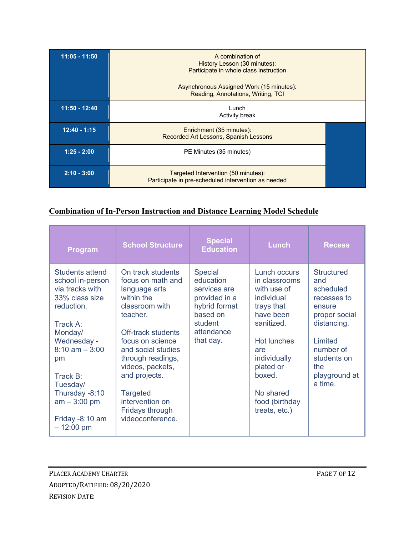| $11:05 - 11:50$ | A combination of<br>History Lesson (30 minutes):<br>Participate in whole class instruction<br>Asynchronous Assigned Work (15 minutes):<br>Reading, Annotations, Writing, TCI |  |
|-----------------|------------------------------------------------------------------------------------------------------------------------------------------------------------------------------|--|
| $11:50 - 12:40$ | Lunch<br><b>Activity break</b>                                                                                                                                               |  |
| $12:40 - 1:15$  | Enrichment (35 minutes):<br>Recorded Art Lessons, Spanish Lessons                                                                                                            |  |
| $1:25 - 2:00$   | PE Minutes (35 minutes)                                                                                                                                                      |  |
| $2:10 - 3:00$   | Targeted Intervention (50 minutes):<br>Participate in pre-scheduled intervention as needed                                                                                   |  |

## **Combination of In-Person Instruction and Distance Learning Model Schedule**

| <b>Program</b>                                                                                                                                                                                                                                                | <b>School Structure</b>                                                                                                                                                                                                                                                                                    | <b>Special</b><br><b>Education</b>                                                                                              | <b>Lunch</b>                                                                                                                                                                                                            | <b>Recess</b>                                                                                                                                                      |
|---------------------------------------------------------------------------------------------------------------------------------------------------------------------------------------------------------------------------------------------------------------|------------------------------------------------------------------------------------------------------------------------------------------------------------------------------------------------------------------------------------------------------------------------------------------------------------|---------------------------------------------------------------------------------------------------------------------------------|-------------------------------------------------------------------------------------------------------------------------------------------------------------------------------------------------------------------------|--------------------------------------------------------------------------------------------------------------------------------------------------------------------|
| Students attend<br>school in-person<br>via tracks with<br>33% class size<br>reduction.<br>Track A:<br>Monday/<br>Wednesday -<br>$8:10$ am $-3:00$<br>pm<br>Track B:<br>Tuesday/<br>Thursday -8:10<br>$am - 3:00 pm$<br>Friday -8:10 am<br>$-12:00 \text{ pm}$ | On track students<br>focus on math and<br>language arts<br>within the<br>classroom with<br>teacher.<br>Off-track students<br>focus on science<br>and social studies<br>through readings,<br>videos, packets,<br>and projects.<br><b>Targeted</b><br>intervention on<br>Fridays through<br>videoconference. | <b>Special</b><br>education<br>services are<br>provided in a<br>hybrid format<br>based on<br>student<br>attendance<br>that day. | Lunch occurs<br>in classrooms<br>with use of<br>individual<br>trays that<br>have been<br>sanitized.<br><b>Hot lunches</b><br>are<br>individually<br>plated or<br>boxed.<br>No shared<br>food (birthday<br>treats, etc.) | Structured<br>and<br>scheduled<br>recesses to<br>ensure<br>proper social<br>distancing.<br>I imited<br>number of<br>students on<br>the<br>playground at<br>a time. |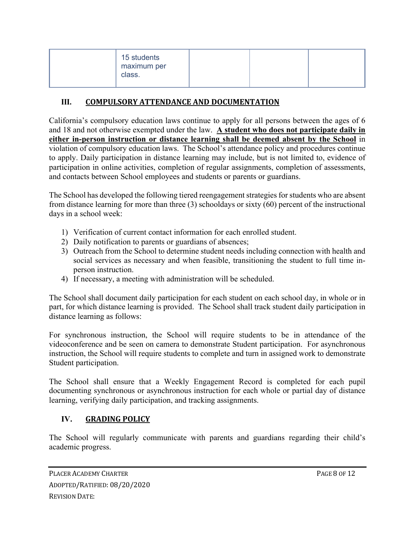| 15 students<br>maximum per<br>class. |  |  |
|--------------------------------------|--|--|
|--------------------------------------|--|--|

## **III. COMPULSORY ATTENDANCE AND DOCUMENTATION**

California's compulsory education laws continue to apply for all persons between the ages of 6 and 18 and not otherwise exempted under the law. **A student who does not participate daily in either in-person instruction or distance learning shall be deemed absent by the School** in violation of compulsory education laws. The School's attendance policy and procedures continue to apply. Daily participation in distance learning may include, but is not limited to, evidence of participation in online activities, completion of regular assignments, completion of assessments, and contacts between School employees and students or parents or guardians.

The School has developed the following tiered reengagement strategies for students who are absent from distance learning for more than three (3) schooldays or sixty (60) percent of the instructional days in a school week:

- 1) Verification of current contact information for each enrolled student.
- 2) Daily notification to parents or guardians of absences;
- 3) Outreach from the School to determine student needs including connection with health and social services as necessary and when feasible, transitioning the student to full time inperson instruction.
- 4) If necessary, a meeting with administration will be scheduled.

The School shall document daily participation for each student on each school day, in whole or in part, for which distance learning is provided. The School shall track student daily participation in distance learning as follows:

For synchronous instruction, the School will require students to be in attendance of the videoconference and be seen on camera to demonstrate Student participation. For asynchronous instruction, the School will require students to complete and turn in assigned work to demonstrate Student participation.

The School shall ensure that a Weekly Engagement Record is completed for each pupil documenting synchronous or asynchronous instruction for each whole or partial day of distance learning, verifying daily participation, and tracking assignments.

## **IV. GRADING POLICY**

The School will regularly communicate with parents and guardians regarding their child's academic progress.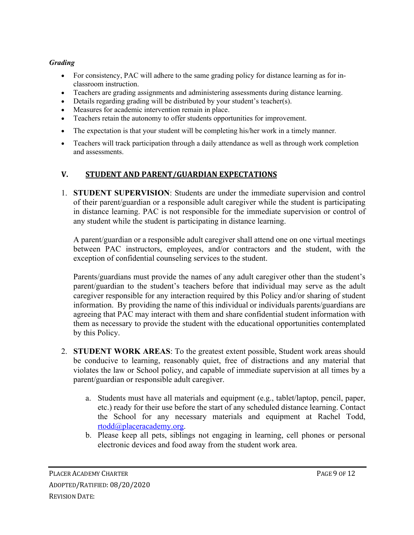### *Grading*

- For consistency, PAC will adhere to the same grading policy for distance learning as for inclassroom instruction.
- Teachers are grading assignments and administering assessments during distance learning.
- Details regarding grading will be distributed by your student's teacher(s).
- Measures for academic intervention remain in place.
- Teachers retain the autonomy to offer students opportunities for improvement.
- The expectation is that your student will be completing his/her work in a timely manner.
- Teachers will track participation through a daily attendance as well as through work completion and assessments.

## **V. STUDENT AND PARENT/GUARDIAN EXPECTATIONS**

1. **STUDENT SUPERVISION**: Students are under the immediate supervision and control of their parent/guardian or a responsible adult caregiver while the student is participating in distance learning. PAC is not responsible for the immediate supervision or control of any student while the student is participating in distance learning.

A parent/guardian or a responsible adult caregiver shall attend one on one virtual meetings between PAC instructors, employees, and/or contractors and the student, with the exception of confidential counseling services to the student.

Parents/guardians must provide the names of any adult caregiver other than the student's parent/guardian to the student's teachers before that individual may serve as the adult caregiver responsible for any interaction required by this Policy and/or sharing of student information. By providing the name of this individual or individuals parents/guardians are agreeing that PAC may interact with them and share confidential student information with them as necessary to provide the student with the educational opportunities contemplated by this Policy.

- 2. **STUDENT WORK AREAS**: To the greatest extent possible, Student work areas should be conducive to learning, reasonably quiet, free of distractions and any material that violates the law or School policy, and capable of immediate supervision at all times by a parent/guardian or responsible adult caregiver.
	- a. Students must have all materials and equipment (e.g., tablet/laptop, pencil, paper, etc.) ready for their use before the start of any scheduled distance learning. Contact the School for any necessary materials and equipment at Rachel Todd, rtodd@placeracademy.org.
	- b. Please keep all pets, siblings not engaging in learning, cell phones or personal electronic devices and food away from the student work area.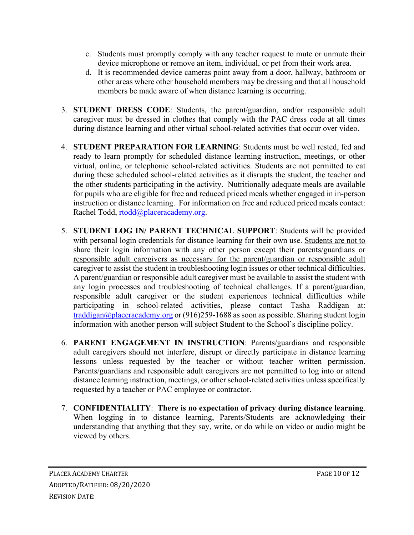- c. Students must promptly comply with any teacher request to mute or unmute their device microphone or remove an item, individual, or pet from their work area.
- d. It is recommended device cameras point away from a door, hallway, bathroom or other areas where other household members may be dressing and that all household members be made aware of when distance learning is occurring.
- 3. **STUDENT DRESS CODE**: Students, the parent/guardian, and/or responsible adult caregiver must be dressed in clothes that comply with the PAC dress code at all times during distance learning and other virtual school-related activities that occur over video.
- 4. **STUDENT PREPARATION FOR LEARNING**: Students must be well rested, fed and ready to learn promptly for scheduled distance learning instruction, meetings, or other virtual, online, or telephonic school-related activities. Students are not permitted to eat during these scheduled school-related activities as it disrupts the student, the teacher and the other students participating in the activity. Nutritionally adequate meals are available for pupils who are eligible for free and reduced priced meals whether engaged in in-person instruction or distance learning. For information on free and reduced priced meals contact: Rachel Todd, rtodd@placeracademy.org.
- 5. **STUDENT LOG IN/ PARENT TECHNICAL SUPPORT**: Students will be provided with personal login credentials for distance learning for their own use. Students are not to share their login information with any other person except their parents/guardians or responsible adult caregivers as necessary for the parent/guardian or responsible adult caregiver to assist the student in troubleshooting login issues or other technical difficulties. A parent/guardian or responsible adult caregiver must be available to assist the student with any login processes and troubleshooting of technical challenges. If a parent/guardian, responsible adult caregiver or the student experiences technical difficulties while participating in school-related activities, please contact Tasha Raddigan at: traddigan@placeracademy.org or  $(916)259-1688$  as soon as possible. Sharing student login information with another person will subject Student to the School's discipline policy.
- 6. **PARENT ENGAGEMENT IN INSTRUCTION**: Parents/guardians and responsible adult caregivers should not interfere, disrupt or directly participate in distance learning lessons unless requested by the teacher or without teacher written permission. Parents/guardians and responsible adult caregivers are not permitted to log into or attend distance learning instruction, meetings, or other school-related activities unless specifically requested by a teacher or PAC employee or contractor.
- 7. **CONFIDENTIALITY**: **There is no expectation of privacy during distance learning**. When logging in to distance learning, Parents/Students are acknowledging their understanding that anything that they say, write, or do while on video or audio might be viewed by others.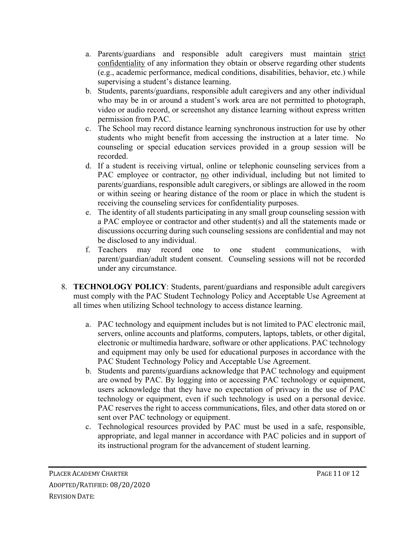- a. Parents/guardians and responsible adult caregivers must maintain strict confidentiality of any information they obtain or observe regarding other students (e.g., academic performance, medical conditions, disabilities, behavior, etc.) while supervising a student's distance learning.
- b. Students, parents/guardians, responsible adult caregivers and any other individual who may be in or around a student's work area are not permitted to photograph, video or audio record, or screenshot any distance learning without express written permission from PAC.
- c. The School may record distance learning synchronous instruction for use by other students who might benefit from accessing the instruction at a later time. No counseling or special education services provided in a group session will be recorded.
- d. If a student is receiving virtual, online or telephonic counseling services from a PAC employee or contractor, no other individual, including but not limited to parents/guardians, responsible adult caregivers, or siblings are allowed in the room or within seeing or hearing distance of the room or place in which the student is receiving the counseling services for confidentiality purposes.
- e. The identity of all students participating in any small group counseling session with a PAC employee or contractor and other student(s) and all the statements made or discussions occurring during such counseling sessions are confidential and may not be disclosed to any individual.
- f. Teachers may record one to one student communications, with parent/guardian/adult student consent. Counseling sessions will not be recorded under any circumstance.
- 8. **TECHNOLOGY POLICY**: Students, parent/guardians and responsible adult caregivers must comply with the PAC Student Technology Policy and Acceptable Use Agreement at all times when utilizing School technology to access distance learning.
	- a. PAC technology and equipment includes but is not limited to PAC electronic mail, servers, online accounts and platforms, computers, laptops, tablets, or other digital, electronic or multimedia hardware, software or other applications. PAC technology and equipment may only be used for educational purposes in accordance with the PAC Student Technology Policy and Acceptable Use Agreement.
	- b. Students and parents/guardians acknowledge that PAC technology and equipment are owned by PAC. By logging into or accessing PAC technology or equipment, users acknowledge that they have no expectation of privacy in the use of PAC technology or equipment, even if such technology is used on a personal device. PAC reserves the right to access communications, files, and other data stored on or sent over PAC technology or equipment.
	- c. Technological resources provided by PAC must be used in a safe, responsible, appropriate, and legal manner in accordance with PAC policies and in support of its instructional program for the advancement of student learning.